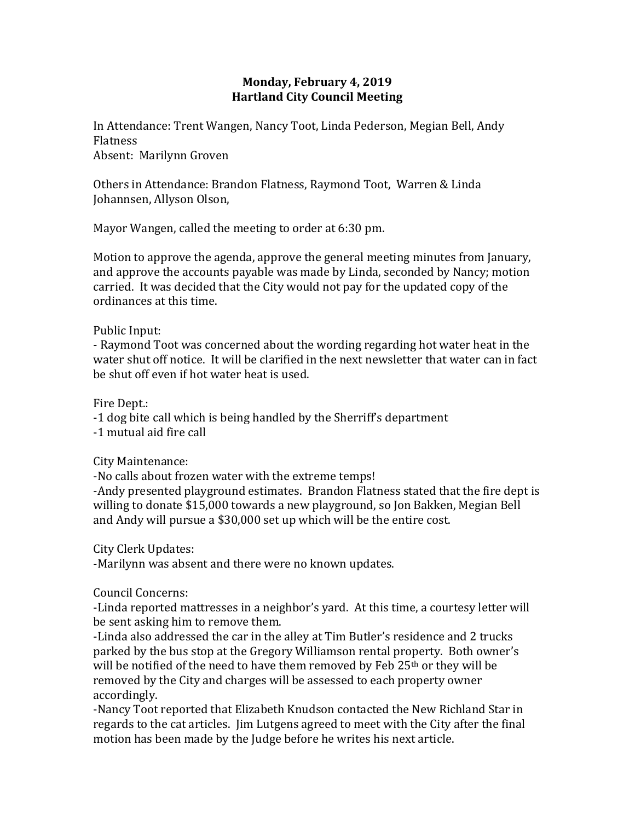## **Monday, February 4, 2019 Hartland City Council Meeting**

In Attendance: Trent Wangen, Nancy Toot, Linda Pederson, Megian Bell, Andy Flatness Absent: Marilynn Groven

Others in Attendance: Brandon Flatness, Raymond Toot, Warren & Linda Johannsen, Allyson Olson,

Mayor Wangen, called the meeting to order at 6:30 pm.

Motion to approve the agenda, approve the general meeting minutes from January, and approve the accounts payable was made by Linda, seconded by Nancy; motion carried. It was decided that the City would not pay for the updated copy of the ordinances at this time.

Public Input:

- Raymond Toot was concerned about the wording regarding hot water heat in the water shut off notice. It will be clarified in the next newsletter that water can in fact be shut off even if hot water heat is used.

Fire Dept.:

-1 dog bite call which is being handled by the Sherriff's department

-1 mutual aid fire call

City Maintenance:

-No calls about frozen water with the extreme temps!

-Andy presented playground estimates. Brandon Flatness stated that the fire dept is willing to donate \$15,000 towards a new playground, so Jon Bakken, Megian Bell and Andy will pursue a \$30,000 set up which will be the entire cost.

City Clerk Updates:

-Marilynn was absent and there were no known updates.

Council Concerns:

-Linda reported mattresses in a neighbor's yard. At this time, a courtesy letter will be sent asking him to remove them.

-Linda also addressed the car in the alley at Tim Butler's residence and 2 trucks parked by the bus stop at the Gregory Williamson rental property. Both owner's will be notified of the need to have them removed by Feb 25<sup>th</sup> or they will be removed by the City and charges will be assessed to each property owner accordingly.

-Nancy Toot reported that Elizabeth Knudson contacted the New Richland Star in regards to the cat articles. Jim Lutgens agreed to meet with the City after the final motion has been made by the Judge before he writes his next article.